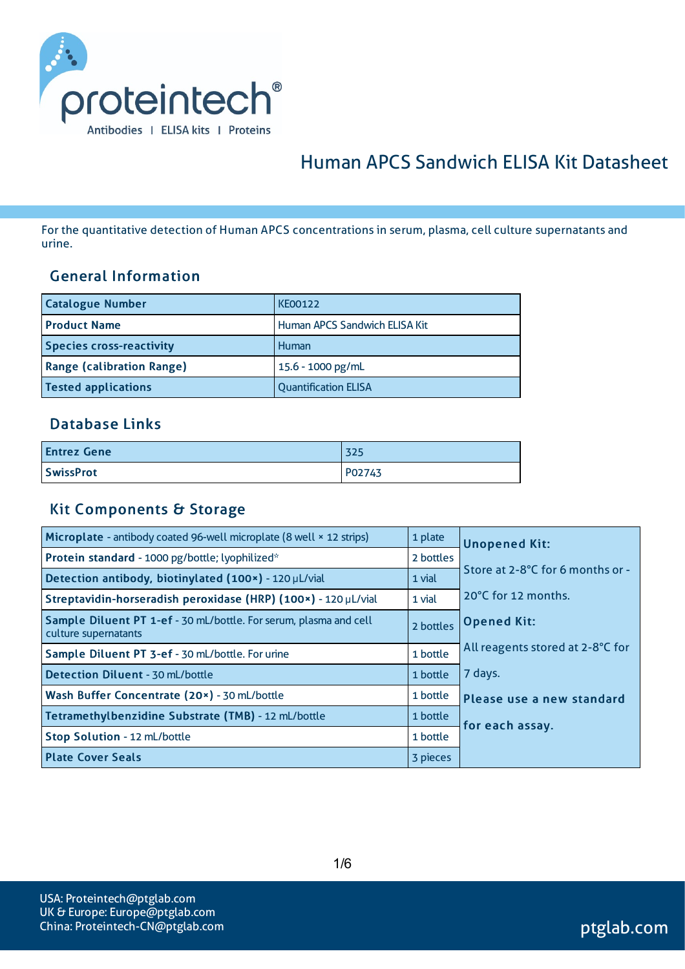

# Human APCS Sandwich ELISA Kit Datasheet

For the quantitative detection of Human APCS concentrationsin serum, plasma, cell culture supernatants and urine.

#### General Information

| <b>Catalogue Number</b>          | <b>KE00122</b>                |
|----------------------------------|-------------------------------|
| <b>Product Name</b>              | Human APCS Sandwich ELISA Kit |
| <b>Species cross-reactivity</b>  | Human                         |
| <b>Range (calibration Range)</b> | 15.6 - 1000 pg/mL             |
| <b>Tested applications</b>       | <b>Quantification ELISA</b>   |

### Database Links

| <b>Entrez Gene</b> | 325    |
|--------------------|--------|
| <b>SwissProt</b>   | P02743 |

#### Kit Components & Storage

| Microplate - antibody coated 96-well microplate (8 well × 12 strips)                      | 1 plate   | <b>Unopened Kit:</b>             |  |
|-------------------------------------------------------------------------------------------|-----------|----------------------------------|--|
| Protein standard - 1000 pg/bottle; lyophilized*                                           | 2 bottles |                                  |  |
| Detection antibody, biotinylated (100x) - 120 µL/vial                                     | 1 vial    | Store at 2-8°C for 6 months or - |  |
| Streptavidin-horseradish peroxidase (HRP) (100x) - 120 µL/vial                            | 1 vial    | 20°C for 12 months.              |  |
| Sample Diluent PT 1-ef - 30 mL/bottle. For serum, plasma and cell<br>culture supernatants | 2 bottles | <b>Opened Kit:</b>               |  |
| Sample Diluent PT 3-ef - 30 mL/bottle. For urine                                          | 1 bottle  | All reagents stored at 2-8°C for |  |
| <b>Detection Diluent - 30 mL/bottle</b>                                                   | 1 bottle  | 7 days.                          |  |
| Wash Buffer Concentrate (20x) - 30 mL/bottle                                              | 1 bottle  | Please use a new standard        |  |
| Tetramethylbenzidine Substrate (TMB) - 12 mL/bottle                                       | 1 bottle  | for each assay.                  |  |
| Stop Solution - 12 mL/bottle                                                              | 1 bottle  |                                  |  |
| <b>Plate Cover Seals</b>                                                                  | 3 pieces  |                                  |  |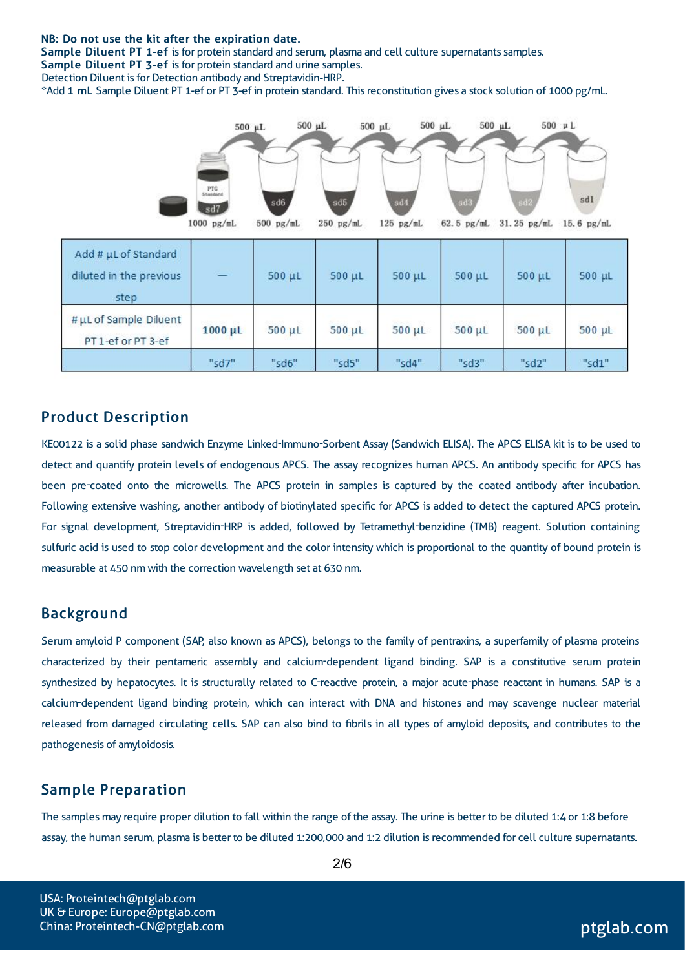#### NB: Do not use the kit after the expiration date.

Sample Diluent PT 1-ef is for protein standard and serum, plasma and cell culture supernatants samples. Sample Diluent PT 3-ef is for protein standard and urine samples.

Detection Diluent is for Detection antibody and Streptavidin-HRP.

\*Add 1 mL Sample Diluent PT 1-ef or PT 3-ef in protein standard. Thisreconstitution gives a stock solution of 1000 pg/mL.



#### Product Description

KE00122 is a solid phase sandwich Enzyme Linked-Immuno-Sorbent Assay (Sandwich ELISA). The APCS ELISA kit is to be used to detect and quantify protein levels of endogenous APCS. The assay recognizes human APCS. An antibody specific for APCS has been pre-coated onto the microwells. The APCS protein in samples is captured by the coated antibody after incubation. Following extensive washing, another antibody of biotinylated specific for APCS is added to detect the captured APCS protein. For signal development, Streptavidin-HRP is added, followed by Tetramethyl-benzidine (TMB) reagent. Solution containing sulfuric acid is used to stop color development and the color intensity which is proportional to the quantity of bound protein is measurable at 450 nm with the correction wavelength set at 630 nm.

#### Background

Serum amyloid P component (SAP, also known as APCS), belongs to the family of pentraxins, a superfamily of plasma proteins characterized by their pentameric assembly and calcium-dependent ligand binding. SAP is a constitutive serum protein synthesized by hepatocytes. It is structurally related to C-reactive protein, a major acute-phase reactant in humans. SAP is a calcium-dependent ligand binding protein, which can interact with DNA and histones and may scavenge nuclear material released from damaged circulating cells. SAP can also bind to fibrils in all types of amyloid deposits, and contributes to the pathogenesis of amyloidosis.

#### Sample Preparation

The samples may require proper dilution to fall within the range of the assay. The urine is better to be diluted 1:4 or 1:8 before assay, the human serum, plasma is better to be diluted 1:200,000 and 1:2 dilution isrecommended for cell culture supernatants.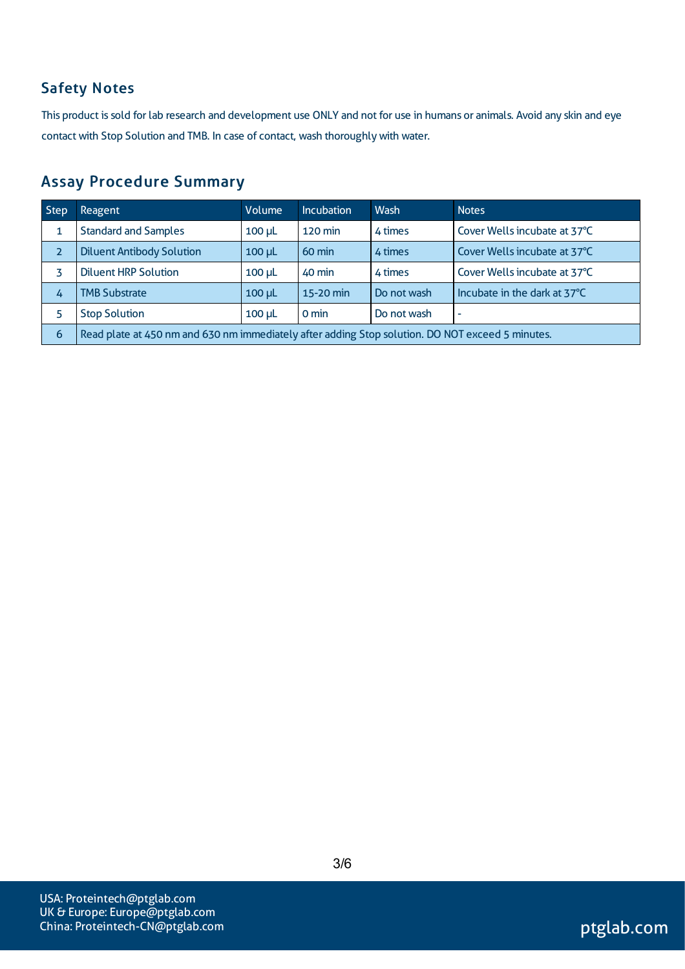# Safety Notes

This product is sold for lab research and development use ONLY and not for use in humans or animals. Avoid any skin and eye contact with Stop Solution and TMB. In case of contact, wash thoroughly with water.

### Assay Procedure Summary

| Step           | Reagent                                                                                          | Volume      | <b>Incubation</b> | Wash        | <b>Notes</b>                 |  |
|----------------|--------------------------------------------------------------------------------------------------|-------------|-------------------|-------------|------------------------------|--|
|                | <b>Standard and Samples</b>                                                                      | $100 \mu L$ | <b>120 min</b>    | 4 times     | Cover Wells incubate at 37°C |  |
| $\overline{2}$ | <b>Diluent Antibody Solution</b>                                                                 | $100$ $\mu$ | $60 \text{ min}$  | 4 times     | Cover Wells incubate at 37°C |  |
|                | <b>Diluent HRP Solution</b>                                                                      | $100$ $\mu$ | 40 min            | 4 times     | Cover Wells incubate at 37°C |  |
| 4              | <b>TMB Substrate</b>                                                                             | $100$ $\mu$ | 15-20 min         | Do not wash | Incubate in the dark at 37°C |  |
|                | <b>Stop Solution</b>                                                                             | $100$ $\mu$ | 0 min             | Do not wash | $\overline{\phantom{a}}$     |  |
| 6              | Read plate at 450 nm and 630 nm immediately after adding Stop solution. DO NOT exceed 5 minutes. |             |                   |             |                              |  |

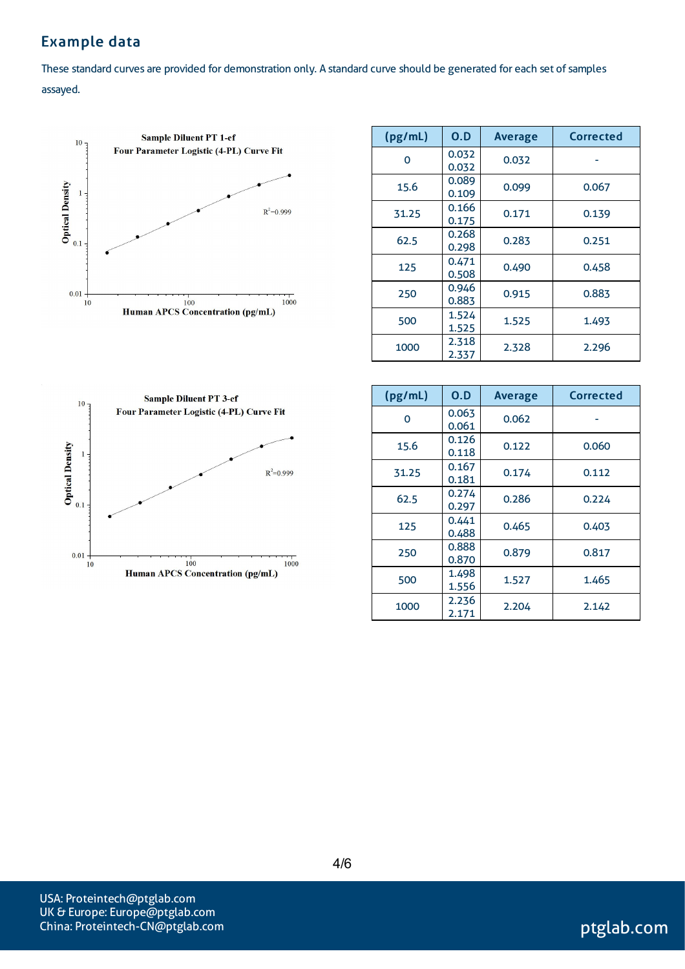# Example data

These standard curves are provided for demonstration only. A standard curve should be generated for each set of samples assayed.



| (pg/mL) | 0.D            | <b>Average</b> | <b>Corrected</b> |
|---------|----------------|----------------|------------------|
| O       | 0.032<br>0.032 | 0.032          |                  |
| 15.6    | 0.089<br>0.109 | 0.099          | 0.067            |
| 31.25   | 0.166<br>0.175 | 0.171          | 0.139            |
| 62.5    | 0.268<br>0.298 | 0.283          | 0.251            |
| 125     | 0.471<br>0.508 | 0.490          | 0.458            |
| 250     | 0.946<br>0.883 | 0.915          | 0.883            |
| 500     | 1.524<br>1.525 | 1.525          | 1.493            |
| 1000    | 2.318<br>2.337 | 2.328          | 2.296            |



| (pg/mL) | 0.D            | <b>Average</b> | <b>Corrected</b> |
|---------|----------------|----------------|------------------|
| 0       | 0.063<br>0.061 | 0.062          |                  |
| 15.6    | 0.126<br>0.118 | 0.122          | 0.060            |
| 31.25   | 0.167<br>0.181 | 0.174          | 0.112            |
| 62.5    | 0.274<br>0.297 | 0.286          | 0.224            |
| 125     | 0.441<br>0.488 | 0.465          | 0.403            |
| 250     | 0.888<br>0.870 | 0.879          | 0.817            |
| 500     | 1.498<br>1.556 | 1.527          | 1.465            |
| 1000    | 2.236<br>2.171 | 2.204          | 2.142            |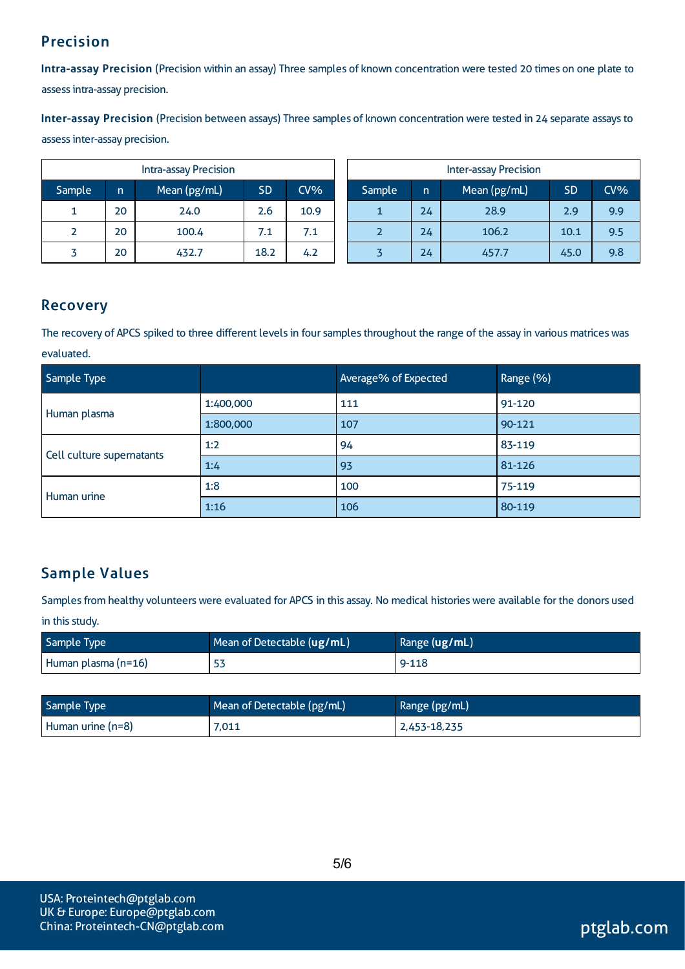# Precision

Intra-assay Precision (Precision within an assay) Three samples of known concentration were tested 20 times on one plate to assessintra-assay precision.

Inter-assay Precision (Precision between assays) Three samples of known concentration were tested in 24 separate assaysto assessinter-assay precision.

| <b>Intra-assay Precision</b> |    |              | <b>Inter-assay Precision</b> |        |        |    |              |           |     |
|------------------------------|----|--------------|------------------------------|--------|--------|----|--------------|-----------|-----|
| Sample                       | n  | Mean (pg/mL) | <b>SD</b>                    | $CV\%$ | Sample | 'n | Mean (pg/mL) | <b>SD</b> | CV% |
| ┻.                           | 20 | 24.0         | 2.6                          | 10.9   |        | 24 | 28.9         | 2.9       | 9.9 |
|                              | 20 | 100.4        | 7.1                          | 7.1    |        | 24 | 106.2        | 10.1      | 9.5 |
|                              | 20 | 432.7        | 18.2                         | 4.2    |        | 24 | 457.7        | 45.0      | 9.8 |

### Recovery

The recovery of APCS spiked to three different levels in four samples throughout the range of the assay in various matrices was evaluated.

| Sample Type               |           | Average% of Expected | Range (%) |
|---------------------------|-----------|----------------------|-----------|
|                           | 1:400,000 | 111                  | 91-120    |
| Human plasma              | 1:800,000 | 107                  | 90-121    |
|                           | 1:2       | 94                   | 83-119    |
| Cell culture supernatants | 1:4       | 93                   | 81-126    |
| Human urine               | 1:8       | 100                  | 75-119    |
|                           | 1:16      | 106                  | 80-119    |

# Sample Values

Samples from healthy volunteers were evaluated for APCS in this assay. No medical histories were available for the donors used in this study.

| Sample Type           | Mean of Detectable $(ug/mL)$ | Range (ug/mL) |
|-----------------------|------------------------------|---------------|
| Human plasma $(n=16)$ | ၁၁                           | $9 - 118$     |

| Sample Type       | Mean of Detectable (pg/mL) | Range (pg/mL) |
|-------------------|----------------------------|---------------|
| Human urine (n=8) | 7,011                      | 2,453-18,235  |